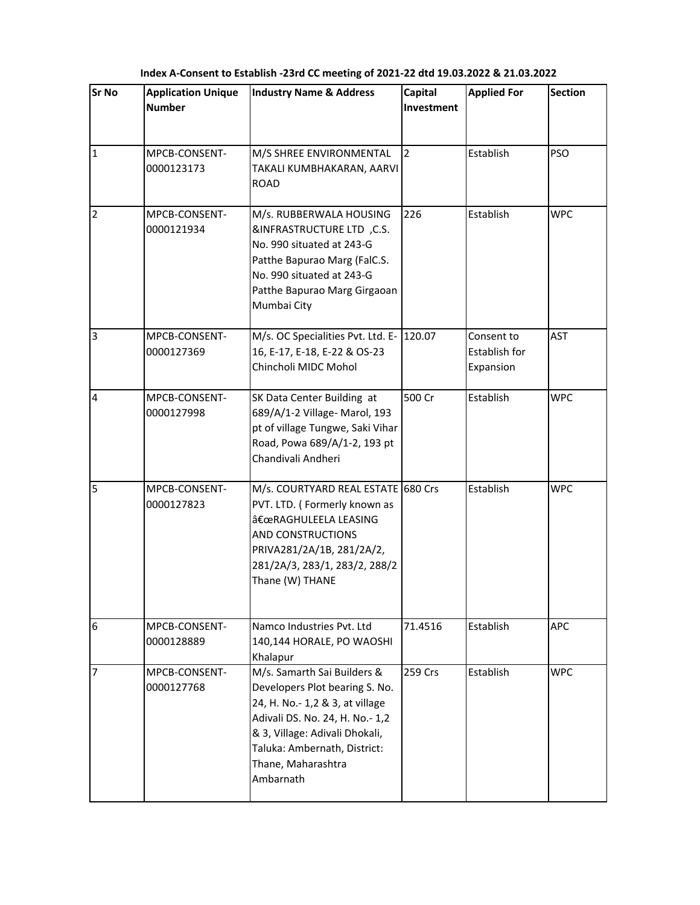| <b>Sr No</b>   | <b>Application Unique</b><br><b>Number</b> | <b>Industry Name &amp; Address</b>                                                                                                                                                                                                       | Capital<br>Investment | <b>Applied For</b>                       | <b>Section</b> |
|----------------|--------------------------------------------|------------------------------------------------------------------------------------------------------------------------------------------------------------------------------------------------------------------------------------------|-----------------------|------------------------------------------|----------------|
| $\mathbf{1}$   | MPCB-CONSENT-<br>0000123173                | M/S SHREE ENVIRONMENTAL<br>TAKALI KUMBHAKARAN, AARVI<br><b>ROAD</b>                                                                                                                                                                      | $\overline{2}$        | Establish                                | <b>PSO</b>     |
| $\mathbf 2$    | MPCB-CONSENT-<br>0000121934                | M/s. RUBBERWALA HOUSING<br>&INFRASTRUCTURE LTD, C.S.<br>No. 990 situated at 243-G<br>Patthe Bapurao Marg (FalC.S.<br>No. 990 situated at 243-G<br>Patthe Bapurao Marg Girgaoan<br>Mumbai City                                            | 226                   | Establish                                | <b>WPC</b>     |
| $\overline{3}$ | MPCB-CONSENT-<br>0000127369                | M/s. OC Specialities Pvt. Ltd. E- 120.07<br>16, E-17, E-18, E-22 & OS-23<br>Chincholi MIDC Mohol                                                                                                                                         |                       | Consent to<br>Establish for<br>Expansion | <b>AST</b>     |
| $\overline{4}$ | MPCB-CONSENT-<br>0000127998                | SK Data Center Building at<br>689/A/1-2 Village- Marol, 193<br>pt of village Tungwe, Saki Vihar<br>Road, Powa 689/A/1-2, 193 pt<br>Chandivali Andheri                                                                                    | 500 Cr                | Establish                                | <b>WPC</b>     |
| 5              | MPCB-CONSENT-<br>0000127823                | M/s. COURTYARD REAL ESTATE 680 Crs<br>PVT. LTD. (Formerly known as<br>"RAGHULEELA LEASING<br>AND CONSTRUCTIONS<br>PRIVA281/2A/1B, 281/2A/2,<br>281/2A/3, 283/1, 283/2, 288/2<br>Thane (W) THANE                                          |                       | Establish                                | <b>WPC</b>     |
| 6              | MPCB-CONSENT-<br>0000128889                | Namco Industries Pvt. Ltd<br>140,144 HORALE, PO WAOSHI<br>Khalapur                                                                                                                                                                       | 71.4516               | Establish                                | <b>APC</b>     |
| 7              | MPCB-CONSENT-<br>0000127768                | M/s. Samarth Sai Builders &<br>Developers Plot bearing S. No.<br>24, H. No.- 1,2 & 3, at village<br>Adivali DS. No. 24, H. No.- 1,2<br>& 3, Village: Adivali Dhokali,<br>Taluka: Ambernath, District:<br>Thane, Maharashtra<br>Ambarnath | 259 Crs               | Establish                                | <b>WPC</b>     |

**Index A-Consent to Establish -23rd CC meeting of 2021-22 dtd 19.03.2022 & 21.03.2022**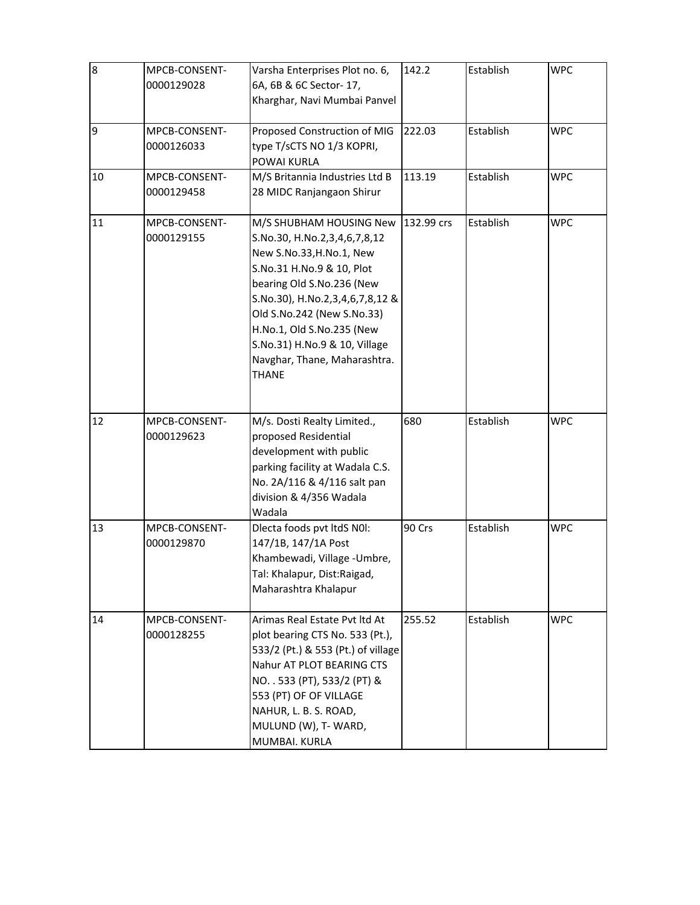| $\overline{8}$ | MPCB-CONSENT-<br>0000129028 | Varsha Enterprises Plot no. 6,<br>6A, 6B & 6C Sector- 17,<br>Kharghar, Navi Mumbai Panvel                                                                                                                                                                                                                                    | 142.2      | Establish | <b>WPC</b> |
|----------------|-----------------------------|------------------------------------------------------------------------------------------------------------------------------------------------------------------------------------------------------------------------------------------------------------------------------------------------------------------------------|------------|-----------|------------|
| 9              | MPCB-CONSENT-<br>0000126033 | Proposed Construction of MIG<br>type T/sCTS NO 1/3 KOPRI,<br>POWAI KURLA                                                                                                                                                                                                                                                     | 222.03     | Establish | <b>WPC</b> |
| 10             | MPCB-CONSENT-<br>0000129458 | M/S Britannia Industries Ltd B<br>28 MIDC Ranjangaon Shirur                                                                                                                                                                                                                                                                  | 113.19     | Establish | <b>WPC</b> |
| 11             | MPCB-CONSENT-<br>0000129155 | M/S SHUBHAM HOUSING New<br>S.No.30, H.No.2,3,4,6,7,8,12<br>New S.No.33, H.No.1, New<br>S.No.31 H.No.9 & 10, Plot<br>bearing Old S.No.236 (New<br>S.No.30), H.No.2,3,4,6,7,8,12 &<br>Old S.No.242 (New S.No.33)<br>H.No.1, Old S.No.235 (New<br>S.No.31) H.No.9 & 10, Village<br>Navghar, Thane, Maharashtra.<br><b>THANE</b> | 132.99 crs | Establish | <b>WPC</b> |
| 12             | MPCB-CONSENT-<br>0000129623 | M/s. Dosti Realty Limited.,<br>proposed Residential<br>development with public<br>parking facility at Wadala C.S.<br>No. 2A/116 & 4/116 salt pan<br>division & 4/356 Wadala<br>Wadala                                                                                                                                        | 680        | Establish | <b>WPC</b> |
| 13             | MPCB-CONSENT-<br>0000129870 | Dlecta foods pvt ltdS N0I:<br>147/1B, 147/1A Post<br>Khambewadi, Village - Umbre,<br>Tal: Khalapur, Dist:Raigad,<br>Maharashtra Khalapur                                                                                                                                                                                     | 90 Crs     | Establish | <b>WPC</b> |
| 14             | MPCB-CONSENT-<br>0000128255 | Arimas Real Estate Pyt ltd At<br>plot bearing CTS No. 533 (Pt.),<br>533/2 (Pt.) & 553 (Pt.) of village<br>Nahur AT PLOT BEARING CTS<br>NO. . 533 (PT), 533/2 (PT) &<br>553 (PT) OF OF VILLAGE<br>NAHUR, L. B. S. ROAD,<br>MULUND (W), T- WARD,<br>MUMBAI. KURLA                                                              | 255.52     | Establish | <b>WPC</b> |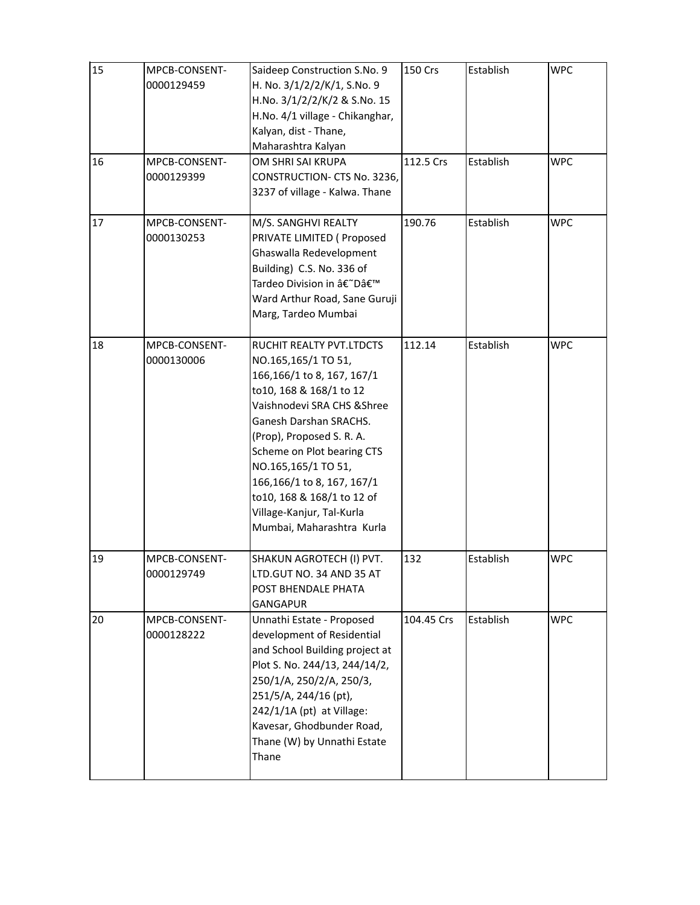| 15 | MPCB-CONSENT- | Saideep Construction S.No. 9    | 150 Crs    | Establish | <b>WPC</b> |
|----|---------------|---------------------------------|------------|-----------|------------|
|    | 0000129459    | H. No. 3/1/2/2/K/1, S.No. 9     |            |           |            |
|    |               | H.No. 3/1/2/2/K/2 & S.No. 15    |            |           |            |
|    |               | H.No. 4/1 village - Chikanghar, |            |           |            |
|    |               | Kalyan, dist - Thane,           |            |           |            |
|    |               | Maharashtra Kalyan              |            |           |            |
| 16 | MPCB-CONSENT- | OM SHRI SAI KRUPA               | 112.5 Crs  | Establish | <b>WPC</b> |
|    | 0000129399    | CONSTRUCTION- CTS No. 3236,     |            |           |            |
|    |               | 3237 of village - Kalwa. Thane  |            |           |            |
|    |               |                                 |            |           |            |
| 17 | MPCB-CONSENT- | M/S. SANGHVI REALTY             | 190.76     | Establish | <b>WPC</b> |
|    | 0000130253    | PRIVATE LIMITED ( Proposed      |            |           |            |
|    |               | Ghaswalla Redevelopment         |            |           |            |
|    |               | Building) C.S. No. 336 of       |            |           |            |
|    |               | Tardeo Division in â€~D'        |            |           |            |
|    |               | Ward Arthur Road, Sane Guruji   |            |           |            |
|    |               | Marg, Tardeo Mumbai             |            |           |            |
|    |               |                                 |            |           |            |
| 18 | MPCB-CONSENT- | RUCHIT REALTY PVT.LTDCTS        | 112.14     | Establish | <b>WPC</b> |
|    | 0000130006    | NO.165,165/1 TO 51,             |            |           |            |
|    |               | 166,166/1 to 8, 167, 167/1      |            |           |            |
|    |               | to10, 168 & 168/1 to 12         |            |           |            |
|    |               | Vaishnodevi SRA CHS & Shree     |            |           |            |
|    |               | Ganesh Darshan SRACHS.          |            |           |            |
|    |               | (Prop), Proposed S. R. A.       |            |           |            |
|    |               | Scheme on Plot bearing CTS      |            |           |            |
|    |               | NO.165,165/1 TO 51,             |            |           |            |
|    |               | 166,166/1 to 8, 167, 167/1      |            |           |            |
|    |               | to10, 168 & 168/1 to 12 of      |            |           |            |
|    |               | Village-Kanjur, Tal-Kurla       |            |           |            |
|    |               | Mumbai, Maharashtra Kurla       |            |           |            |
|    |               |                                 |            |           |            |
| 19 | MPCB-CONSENT- | SHAKUN AGROTECH (I) PVT.        | 132        | Establish | <b>WPC</b> |
|    | 0000129749    | LTD.GUT NO. 34 AND 35 AT        |            |           |            |
|    |               | POST BHENDALE PHATA             |            |           |            |
|    |               | <b>GANGAPUR</b>                 |            |           |            |
| 20 | MPCB-CONSENT- | Unnathi Estate - Proposed       | 104.45 Crs | Establish | <b>WPC</b> |
|    | 0000128222    | development of Residential      |            |           |            |
|    |               | and School Building project at  |            |           |            |
|    |               | Plot S. No. 244/13, 244/14/2,   |            |           |            |
|    |               | 250/1/A, 250/2/A, 250/3,        |            |           |            |
|    |               | 251/5/A, 244/16 (pt),           |            |           |            |
|    |               | 242/1/1A (pt) at Village:       |            |           |            |
|    |               | Kavesar, Ghodbunder Road,       |            |           |            |
|    |               | Thane (W) by Unnathi Estate     |            |           |            |
|    |               | Thane                           |            |           |            |
|    |               |                                 |            |           |            |
|    |               |                                 |            |           |            |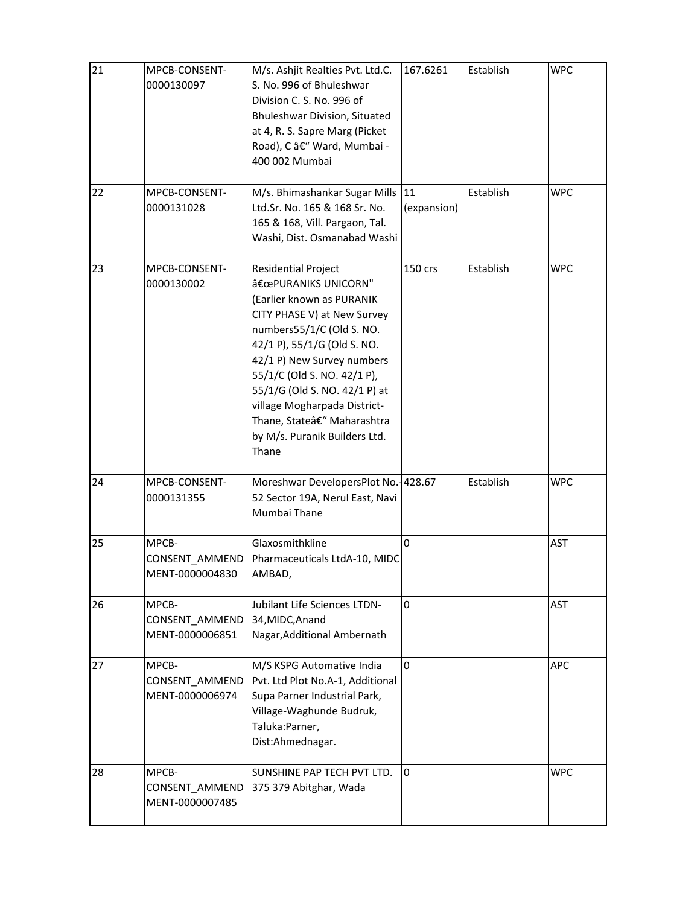| 21 | MPCB-CONSENT-<br>0000130097                | M/s. Ashjit Realties Pvt. Ltd.C.<br>S. No. 996 of Bhuleshwar<br>Division C. S. No. 996 of<br>Bhuleshwar Division, Situated<br>at 4, R. S. Sapre Marg (Picket<br>Road), C – Ward, Mumbai -<br>400 002 Mumbai                                                                                                                                                                   | 167.6261    | Establish | <b>WPC</b> |
|----|--------------------------------------------|-------------------------------------------------------------------------------------------------------------------------------------------------------------------------------------------------------------------------------------------------------------------------------------------------------------------------------------------------------------------------------|-------------|-----------|------------|
| 22 | MPCB-CONSENT-<br>0000131028                | M/s. Bhimashankar Sugar Mills 11<br>Ltd.Sr. No. 165 & 168 Sr. No.<br>165 & 168, Vill. Pargaon, Tal.<br>Washi, Dist. Osmanabad Washi                                                                                                                                                                                                                                           | (expansion) | Establish | <b>WPC</b> |
| 23 | MPCB-CONSENT-<br>0000130002                | <b>Residential Project</b><br>"PURANIKS UNICORN"<br>(Earlier known as PURANIK<br>CITY PHASE V) at New Survey<br>numbers55/1/C (Old S. NO.<br>42/1 P), 55/1/G (Old S. NO.<br>42/1 P) New Survey numbers<br>55/1/C (Old S. NO. 42/1 P),<br>55/1/G (Old S. NO. 42/1 P) at<br>village Mogharpada District-<br>Thane, State– Maharashtra<br>by M/s. Puranik Builders Ltd.<br>Thane | 150 crs     | Establish | <b>WPC</b> |
| 24 | MPCB-CONSENT-<br>0000131355                | Moreshwar DevelopersPlot No. 428.67<br>52 Sector 19A, Nerul East, Navi<br>Mumbai Thane                                                                                                                                                                                                                                                                                        |             | Establish | <b>WPC</b> |
| 25 | MPCB-<br>CONSENT_AMMEND<br>MENT-0000004830 | Glaxosmithkline<br>Pharmaceuticals LtdA-10, MIDC<br>AMBAD,                                                                                                                                                                                                                                                                                                                    | $\Omega$    |           | <b>AST</b> |
| 26 | MPCB-<br>CONSENT AMMEND<br>MENT-0000006851 | <b>Jubilant Life Sciences LTDN-</b><br>34, MIDC, Anand<br>Nagar, Additional Ambernath                                                                                                                                                                                                                                                                                         | 0           |           | <b>AST</b> |
| 27 | MPCB-<br>CONSENT AMMEND<br>MENT-0000006974 | M/S KSPG Automative India<br>Pvt. Ltd Plot No.A-1, Additional<br>Supa Parner Industrial Park,<br>Village-Waghunde Budruk,<br>Taluka: Parner,<br>Dist:Ahmednagar.                                                                                                                                                                                                              | 0           |           | APC        |
| 28 | MPCB-<br>CONSENT_AMMEND<br>MENT-0000007485 | SUNSHINE PAP TECH PVT LTD.<br>375 379 Abitghar, Wada                                                                                                                                                                                                                                                                                                                          | 0           |           | <b>WPC</b> |